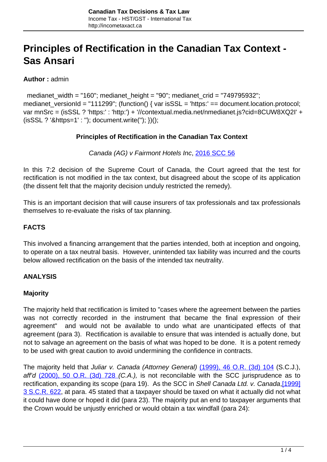# **Principles of Rectification in the Canadian Tax Context - Sas Ansari**

**Author :** admin

 medianet\_width = "160"; medianet\_height = "90"; medianet\_crid = "749795932"; medianet\_versionId = "111299"; (function() { var isSSL = 'https:' == document.location.protocol; var mnSrc = (isSSL ? 'https:' : 'http:') + '//contextual.media.net/nmedianet.js?cid=8CUW8XQ2I' + (isSSL ? '&https=1' : ''); document.write(''); })();

#### **Principles of Rectification in the Canadian Tax Context**

Canada (AG) v Fairmont Hotels Inc, [2016 SCC 56](http://scc-csc.lexum.com/scc-csc/scc-csc/en/item/16281/index.do)

In this 7:2 decision of the Supreme Court of Canada, the Court agreed that the test for rectification is not modified in the tax context, but disagreed about the scope of its application (the dissent felt that the majority decision unduly restricted the remedy).

This is an important decision that will cause insurers of tax professionals and tax professionals themselves to re-evaluate the risks of tax planning.

## **FACTS**

This involved a financing arrangement that the parties intended, both at inception and ongoing, to operate on a tax neutral basis. However, unintended tax liability was incurred and the courts below allowed rectification on the basis of the intended tax neutrality.

## **ANALYSIS**

#### **Majority**

The majority held that rectification is limited to "cases where the agreement between the parties was not correctly recorded in the instrument that became the final expression of their agreement" and would not be available to undo what are unanticipated effects of that agreement (para 3). Rectification is available to ensure that was intended is actually done, but not to salvage an agreement on the basis of what was hoped to be done. It is a potent remedy to be used with great caution to avoid undermining the confidence in contracts.

The majority held that Juliar v. Canada (Attorney General) [\(1999\), 46 O.R. \(3d\) 104](http://canlii.ca/t/1wfjq) (S.C.J.), aff'd  $(2000)$ , 50 O.R.  $(3d)$  728  $(C.A.)$ , is not reconcilable with the SCC jurisprudence as to rectification, expanding its scope (para 19). As the SCC in Shell Canada Ltd. v. Canada, [\[1999\]](http://scc-csc.lexum.com/scc-csc/scc-csc/en/item/1745/index.do) [3 S.C.R. 622](http://scc-csc.lexum.com/scc-csc/scc-csc/en/item/1745/index.do), at para. 45 stated that a taxpayer should be taxed on what it actually did not what it could have done or hoped it did (para 23). The majority put an end to taxpayer arguments that the Crown would be unjustly enriched or would obtain a tax windfall (para 24):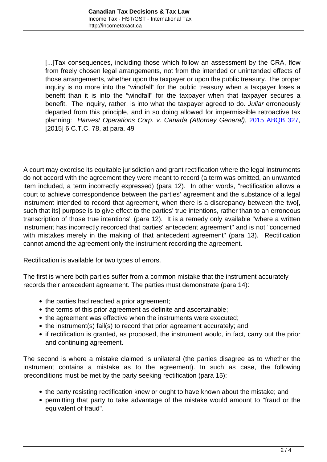[...]Tax consequences, including those which follow an assessment by the CRA, flow from freely chosen legal arrangements, not from the intended or unintended effects of those arrangements, whether upon the taxpayer or upon the public treasury. The proper inquiry is no more into the "windfall" for the public treasury when a taxpayer loses a benefit than it is into the "windfall" for the taxpayer when that taxpayer secures a benefit. The inquiry, rather, is into what the taxpayer agreed to do. Juliar erroneously departed from this principle, and in so doing allowed for impermissible retroactive tax planning: Harvest Operations Corp. v. Canada (Attorney General), [2015 ABQB 327,](http://canlii.ca/t/gj7vd) [2015] 6 C.T.C. 78, at para. 49

A court may exercise its equitable jurisdiction and grant rectification where the legal instruments do not accord with the agreement they were meant to record (a term was omitted, an unwanted item included, a term incorrectly expressed) (para 12). In other words, "rectification allows a court to achieve correspondence between the parties' agreement and the substance of a legal instrument intended to record that agreement, when there is a discrepancy between the two[, such that its] purpose is to give effect to the parties' true intentions, rather than to an erroneous transcription of those true intentions" (para 12). It is a remedy only available "where a written instrument has incorrectly recorded that parties' antecedent agreement" and is not "concerned with mistakes merely in the making of that antecedent agreement" (para 13). Rectification cannot amend the agreement only the instrument recording the agreement.

Rectification is available for two types of errors.

The first is where both parties suffer from a common mistake that the instrument accurately records their antecedent agreement. The parties must demonstrate (para 14):

- the parties had reached a prior agreement;
- the terms of this prior agreement as definite and ascertainable;
- the agreement was effective when the instruments were executed;
- the instrument(s) fail(s) to record that prior agreement accurately; and
- if rectification is granted, as proposed, the instrument would, in fact, carry out the prior and continuing agreement.

The second is where a mistake claimed is unilateral (the parties disagree as to whether the instrument contains a mistake as to the agreement). In such as case, the following preconditions must be met by the party seeking rectification (para 15):

- the party resisting rectification knew or ought to have known about the mistake; and
- permitting that party to take advantage of the mistake would amount to "fraud or the equivalent of fraud".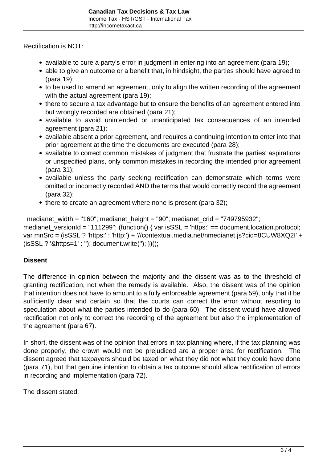Rectification is NOT:

- available to cure a party's error in judgment in entering into an agreement (para 19);
- able to give an outcome or a benefit that, in hindsight, the parties should have agreed to (para 19);
- to be used to amend an agreement, only to align the written recording of the agreement with the actual agreement (para 19);
- there to secure a tax advantage but to ensure the benefits of an agreement entered into but wrongly recorded are obtained (para 21);
- available to avoid unintended or unanticipated tax consequences of an intended agreement (para 21);
- available absent a prior agreement, and requires a continuing intention to enter into that prior agreement at the time the documents are executed (para 28);
- available to correct common mistakes of judgment that frustrate the parties' aspirations or unspecified plans, only common mistakes in recording the intended prior agreement (para 31);
- available unless the party seeking rectification can demonstrate which terms were omitted or incorrectly recorded AND the terms that would correctly record the agreement (para 32);
- there to create an agreement where none is present (para 32);

 medianet\_width = "160"; medianet\_height = "90"; medianet\_crid = "749795932"; medianet\_versionId = "111299"; (function() { var isSSL = 'https:' == document.location.protocol; var mnSrc = (isSSL ? 'https:' : 'http:') + '//contextual.media.net/nmedianet.js?cid=8CUW8XQ2I' + (isSSL ? '&https=1' : ''); document.write(''); })();

# **Dissent**

The difference in opinion between the majority and the dissent was as to the threshold of granting rectification, not when the remedy is available. Also, the dissent was of the opinion that intention does not have to amount to a fully enforceable agreement (para 59), only that it be sufficiently clear and certain so that the courts can correct the error without resorting to speculation about what the parties intended to do (para 60). The dissent would have allowed rectification not only to correct the recording of the agreement but also the implementation of the agreement (para 67).

In short, the dissent was of the opinion that errors in tax planning where, if the tax planning was done properly, the crown would not be prejudiced are a proper area for rectification. The dissent agreed that taxpayers should be taxed on what they did not what they could have done (para 71), but that genuine intention to obtain a tax outcome should allow rectification of errors in recording and implementation (para 72).

The dissent stated: